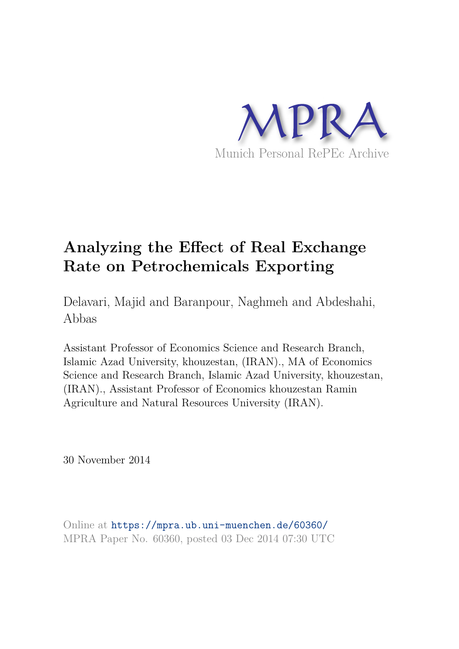

# **Analyzing the Effect of Real Exchange Rate on Petrochemicals Exporting**

Delavari, Majid and Baranpour, Naghmeh and Abdeshahi, Abbas

Assistant Professor of Economics Science and Research Branch, Islamic Azad University, khouzestan, (IRAN)., MA of Economics Science and Research Branch, Islamic Azad University, khouzestan, (IRAN)., Assistant Professor of Economics khouzestan Ramin Agriculture and Natural Resources University (IRAN).

30 November 2014

Online at https://mpra.ub.uni-muenchen.de/60360/ MPRA Paper No. 60360, posted 03 Dec 2014 07:30 UTC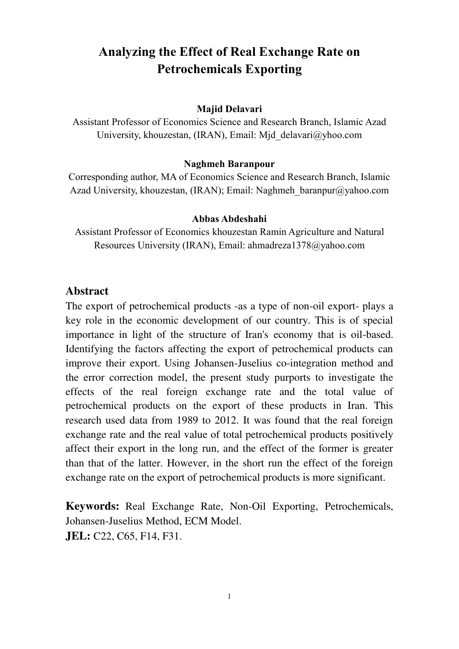# **Analyzing the Effect of Real Exchange Rate on Petrochemicals Exporting**

#### **Majid Delavari**

Assistant Professor of Economics Science and Research Branch, Islamic Azad University, khouzestan, (IRAN), Email: Mjd\_delavari@yhoo.com

#### **Naghmeh Baranpour**

Corresponding author, MA of Economics Science and Research Branch, Islamic Azad University, khouzestan, (IRAN); Email: Naghmeh baranpur@yahoo.com

#### **Abbas Abdeshahi**

Assistant Professor of Economics khouzestan Ramin Agriculture and Natural Resources University (IRAN), Email: ahmadreza1378@yahoo.com

#### **Abstract**

The export of petrochemical products -as a type of non-oil export- plays a key role in the economic development of our country. This is of special importance in light of the structure of Iran's economy that is oil-based. Identifying the factors affecting the export of petrochemical products can improve their export. Using Johansen-Juselius co-integration method and the error correction model, the present study purports to investigate the effects of the real foreign exchange rate and the total value of petrochemical products on the export of these products in Iran. This research used data from 1989 to 2012. It was found that the real foreign exchange rate and the real value of total petrochemical products positively affect their export in the long run, and the effect of the former is greater than that of the latter. However, in the short run the effect of the foreign exchange rate on the export of petrochemical products is more significant.

**Keywords:** Real Exchange Rate, Non-Oil Exporting, Petrochemicals, Johansen-Juselius Method, ECM Model. **JEL:** C22, C65, F14, F31.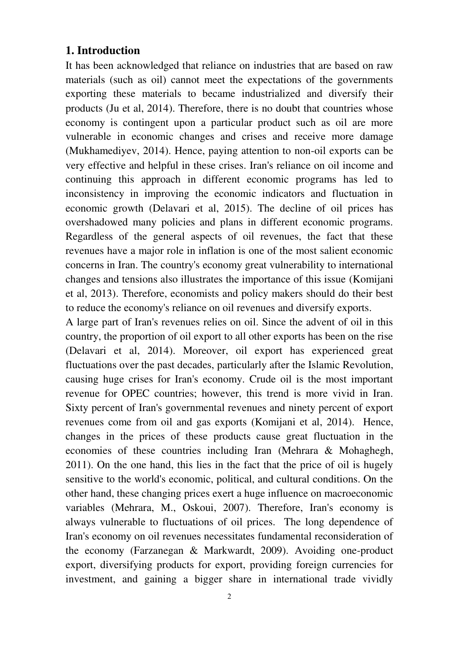## **1. Introduction**

It has been acknowledged that reliance on industries that are based on raw materials (such as oil) cannot meet the expectations of the governments exporting these materials to became industrialized and diversify their products (Ju et al, 2014). Therefore, there is no doubt that countries whose economy is contingent upon a particular product such as oil are more vulnerable in economic changes and crises and receive more damage (Mukhamediyev, 2014). Hence, paying attention to non-oil exports can be very effective and helpful in these crises. Iran's reliance on oil income and continuing this approach in different economic programs has led to inconsistency in improving the economic indicators and fluctuation in economic growth (Delavari et al, 2015). The decline of oil prices has overshadowed many policies and plans in different economic programs. Regardless of the general aspects of oil revenues, the fact that these revenues have a major role in inflation is one of the most salient economic concerns in Iran. The country's economy great vulnerability to international changes and tensions also illustrates the importance of this issue (Komijani et al, 2013). Therefore, economists and policy makers should do their best to reduce the economy's reliance on oil revenues and diversify exports.

A large part of Iran's revenues relies on oil. Since the advent of oil in this country, the proportion of oil export to all other exports has been on the rise (Delavari et al, 2014). Moreover, oil export has experienced great fluctuations over the past decades, particularly after the Islamic Revolution, causing huge crises for Iran's economy. Crude oil is the most important revenue for OPEC countries; however, this trend is more vivid in Iran. Sixty percent of Iran's governmental revenues and ninety percent of export revenues come from oil and gas exports (Komijani et al, 2014). Hence, changes in the prices of these products cause great fluctuation in the economies of these countries including Iran (Mehrara & Mohaghegh, 2011). On the one hand, this lies in the fact that the price of oil is hugely sensitive to the world's economic, political, and cultural conditions. On the other hand, these changing prices exert a huge influence on macroeconomic variables (Mehrara, M., Oskoui, 2007). Therefore, Iran's economy is always vulnerable to fluctuations of oil prices. The long dependence of Iran's economy on oil revenues necessitates fundamental reconsideration of the economy (Farzanegan & Markwardt, 2009). Avoiding one-product export, diversifying products for export, providing foreign currencies for investment, and gaining a bigger share in international trade vividly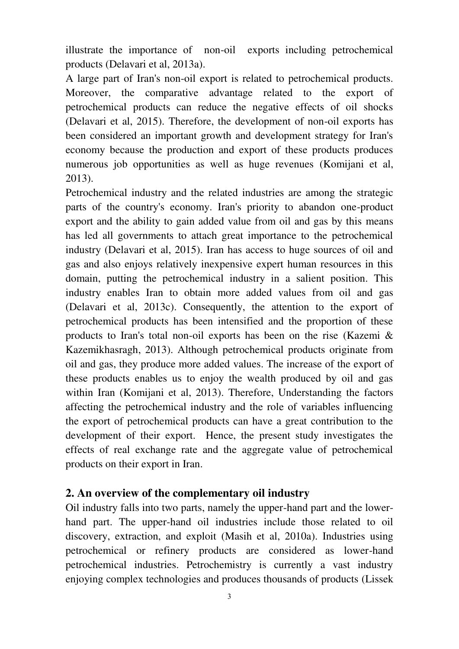illustrate the importance of non-oil exports including petrochemical products (Delavari et al, 2013a).

A large part of Iran's non-oil export is related to petrochemical products. Moreover, the comparative advantage related to the export of petrochemical products can reduce the negative effects of oil shocks (Delavari et al, 2015). Therefore, the development of non-oil exports has been considered an important growth and development strategy for Iran's economy because the production and export of these products produces numerous job opportunities as well as huge revenues (Komijani et al, 2013).

Petrochemical industry and the related industries are among the strategic parts of the country's economy. Iran's priority to abandon one-product export and the ability to gain added value from oil and gas by this means has led all governments to attach great importance to the petrochemical industry (Delavari et al, 2015). Iran has access to huge sources of oil and gas and also enjoys relatively inexpensive expert human resources in this domain, putting the petrochemical industry in a salient position. This industry enables Iran to obtain more added values from oil and gas (Delavari et al, 2013c). Consequently, the attention to the export of petrochemical products has been intensified and the proportion of these products to Iran's total non-oil exports has been on the rise (Kazemi & Kazemikhasragh, 2013). Although petrochemical products originate from oil and gas, they produce more added values. The increase of the export of these products enables us to enjoy the wealth produced by oil and gas within Iran (Komijani et al, 2013). Therefore, Understanding the factors affecting the petrochemical industry and the role of variables influencing the export of petrochemical products can have a great contribution to the development of their export. Hence, the present study investigates the effects of real exchange rate and the aggregate value of petrochemical products on their export in Iran.

## **2. An overview of the complementary oil industry**

Oil industry falls into two parts, namely the upper-hand part and the lowerhand part. The upper-hand oil industries include those related to oil discovery, extraction, and exploit (Masih et al, 2010a). Industries using petrochemical or refinery products are considered as lower-hand petrochemical industries. Petrochemistry is currently a vast industry enjoying complex technologies and produces thousands of products (Lissek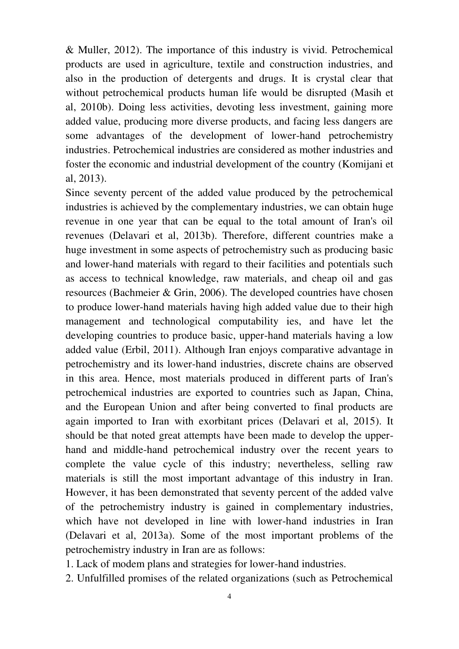& Muller, 2012). The importance of this industry is vivid. Petrochemical products are used in agriculture, textile and construction industries, and also in the production of detergents and drugs. It is crystal clear that without petrochemical products human life would be disrupted (Masih et al, 2010b). Doing less activities, devoting less investment, gaining more added value, producing more diverse products, and facing less dangers are some advantages of the development of lower-hand petrochemistry industries. Petrochemical industries are considered as mother industries and foster the economic and industrial development of the country (Komijani et al, 2013).

Since seventy percent of the added value produced by the petrochemical industries is achieved by the complementary industries, we can obtain huge revenue in one year that can be equal to the total amount of Iran's oil revenues (Delavari et al, 2013b). Therefore, different countries make a huge investment in some aspects of petrochemistry such as producing basic and lower-hand materials with regard to their facilities and potentials such as access to technical knowledge, raw materials, and cheap oil and gas resources (Bachmeier & Grin, 2006). The developed countries have chosen to produce lower-hand materials having high added value due to their high management and technological computability ies, and have let the developing countries to produce basic, upper-hand materials having a low added value (Erbil, 2011). Although Iran enjoys comparative advantage in petrochemistry and its lower-hand industries, discrete chains are observed in this area. Hence, most materials produced in different parts of Iran's petrochemical industries are exported to countries such as Japan, China, and the European Union and after being converted to final products are again imported to Iran with exorbitant prices (Delavari et al, 2015). It should be that noted great attempts have been made to develop the upperhand and middle-hand petrochemical industry over the recent years to complete the value cycle of this industry; nevertheless, selling raw materials is still the most important advantage of this industry in Iran. However, it has been demonstrated that seventy percent of the added valve of the petrochemistry industry is gained in complementary industries, which have not developed in line with lower-hand industries in Iran (Delavari et al, 2013a). Some of the most important problems of the petrochemistry industry in Iran are as follows:

1. Lack of modem plans and strategies for lower-hand industries.

2. Unfulfilled promises of the related organizations (such as Petrochemical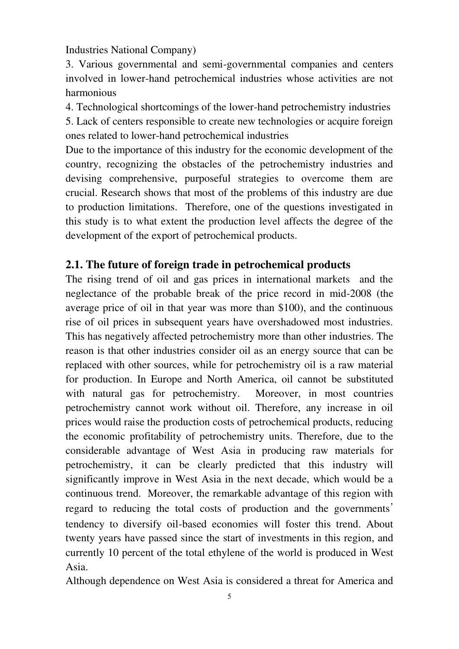Industries National Company)

3. Various governmental and semi-governmental companies and centers involved in lower-hand petrochemical industries whose activities are not harmonious

4. Technological shortcomings of the lower-hand petrochemistry industries 5. Lack of centers responsible to create new technologies or acquire foreign ones related to lower-hand petrochemical industries

Due to the importance of this industry for the economic development of the country, recognizing the obstacles of the petrochemistry industries and devising comprehensive, purposeful strategies to overcome them are crucial. Research shows that most of the problems of this industry are due to production limitations. Therefore, one of the questions investigated in this study is to what extent the production level affects the degree of the development of the export of petrochemical products.

## **2.1. The future of foreign trade in petrochemical products**

The rising trend of oil and gas prices in international markets and the neglectance of the probable break of the price record in mid-2008 (the average price of oil in that year was more than \$100), and the continuous rise of oil prices in subsequent years have overshadowed most industries. This has negatively affected petrochemistry more than other industries. The reason is that other industries consider oil as an energy source that can be replaced with other sources, while for petrochemistry oil is a raw material for production. In Europe and North America, oil cannot be substituted with natural gas for petrochemistry. Moreover, in most countries petrochemistry cannot work without oil. Therefore, any increase in oil prices would raise the production costs of petrochemical products, reducing the economic profitability of petrochemistry units. Therefore, due to the considerable advantage of West Asia in producing raw materials for petrochemistry, it can be clearly predicted that this industry will significantly improve in West Asia in the next decade, which would be a continuous trend. Moreover, the remarkable advantage of this region with regard to reducing the total costs of production and the governments' tendency to diversify oil-based economies will foster this trend. About twenty years have passed since the start of investments in this region, and currently 10 percent of the total ethylene of the world is produced in West Asia.

Although dependence on West Asia is considered a threat for America and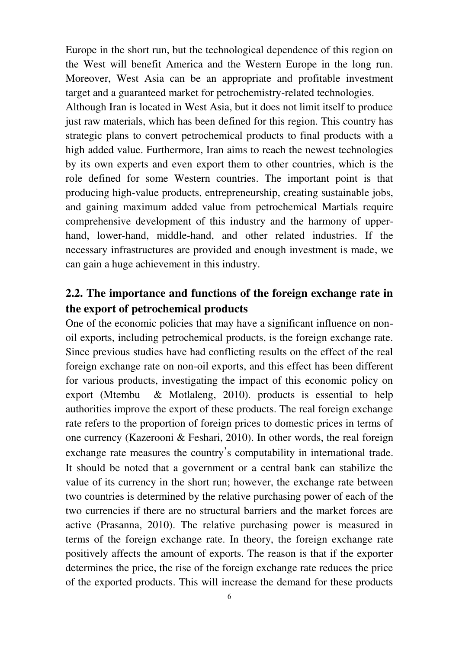Europe in the short run, but the technological dependence of this region on the West will benefit America and the Western Europe in the long run. Moreover, West Asia can be an appropriate and profitable investment target and a guaranteed market for petrochemistry-related technologies.

Although Iran is located in West Asia, but it does not limit itself to produce just raw materials, which has been defined for this region. This country has strategic plans to convert petrochemical products to final products with a high added value. Furthermore, Iran aims to reach the newest technologies by its own experts and even export them to other countries, which is the role defined for some Western countries. The important point is that producing high-value products, entrepreneurship, creating sustainable jobs, and gaining maximum added value from petrochemical Martials require comprehensive development of this industry and the harmony of upperhand, lower-hand, middle-hand, and other related industries. If the necessary infrastructures are provided and enough investment is made, we can gain a huge achievement in this industry.

## **2.2. The importance and functions of the foreign exchange rate in the export of petrochemical products**

One of the economic policies that may have a significant influence on nonoil exports, including petrochemical products, is the foreign exchange rate. Since previous studies have had conflicting results on the effect of the real foreign exchange rate on non-oil exports, and this effect has been different for various products, investigating the impact of this economic policy on export (Mtembu & Motlaleng, 2010). products is essential to help authorities improve the export of these products. The real foreign exchange rate refers to the proportion of foreign prices to domestic prices in terms of one currency (Kazerooni & Feshari, 2010). In other words, the real foreign exchange rate measures the country's computability in international trade. It should be noted that a government or a central bank can stabilize the value of its currency in the short run; however, the exchange rate between two countries is determined by the relative purchasing power of each of the two currencies if there are no structural barriers and the market forces are active (Prasanna, 2010). The relative purchasing power is measured in terms of the foreign exchange rate. In theory, the foreign exchange rate positively affects the amount of exports. The reason is that if the exporter determines the price, the rise of the foreign exchange rate reduces the price of the exported products. This will increase the demand for these products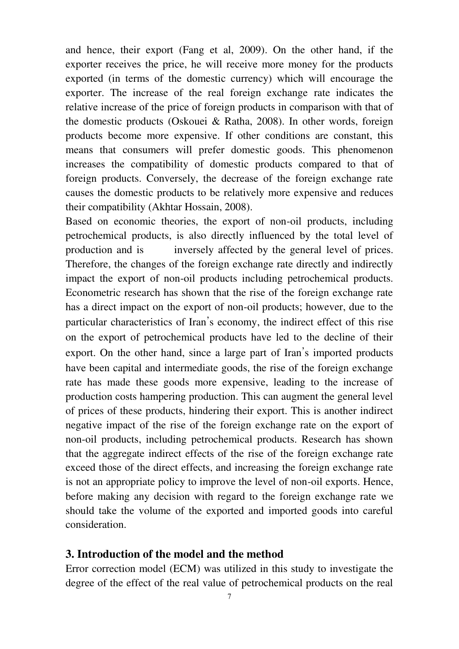and hence, their export (Fang et al, 2009). On the other hand, if the exporter receives the price, he will receive more money for the products exported (in terms of the domestic currency) which will encourage the exporter. The increase of the real foreign exchange rate indicates the relative increase of the price of foreign products in comparison with that of the domestic products (Oskouei & Ratha, 2008). In other words, foreign products become more expensive. If other conditions are constant, this means that consumers will prefer domestic goods. This phenomenon increases the compatibility of domestic products compared to that of foreign products. Conversely, the decrease of the foreign exchange rate causes the domestic products to be relatively more expensive and reduces their compatibility (Akhtar Hossain, 2008).

Based on economic theories, the export of non-oil products, including petrochemical products, is also directly influenced by the total level of production and is inversely affected by the general level of prices. Therefore, the changes of the foreign exchange rate directly and indirectly impact the export of non-oil products including petrochemical products. Econometric research has shown that the rise of the foreign exchange rate has a direct impact on the export of non-oil products; however, due to the particular characteristics of Iran's economy, the indirect effect of this rise on the export of petrochemical products have led to the decline of their export. On the other hand, since a large part of Iran's imported products have been capital and intermediate goods, the rise of the foreign exchange rate has made these goods more expensive, leading to the increase of production costs hampering production. This can augment the general level of prices of these products, hindering their export. This is another indirect negative impact of the rise of the foreign exchange rate on the export of non-oil products, including petrochemical products. Research has shown that the aggregate indirect effects of the rise of the foreign exchange rate exceed those of the direct effects, and increasing the foreign exchange rate is not an appropriate policy to improve the level of non-oil exports. Hence, before making any decision with regard to the foreign exchange rate we should take the volume of the exported and imported goods into careful consideration.

## **3. Introduction of the model and the method**

Error correction model (ECM) was utilized in this study to investigate the degree of the effect of the real value of petrochemical products on the real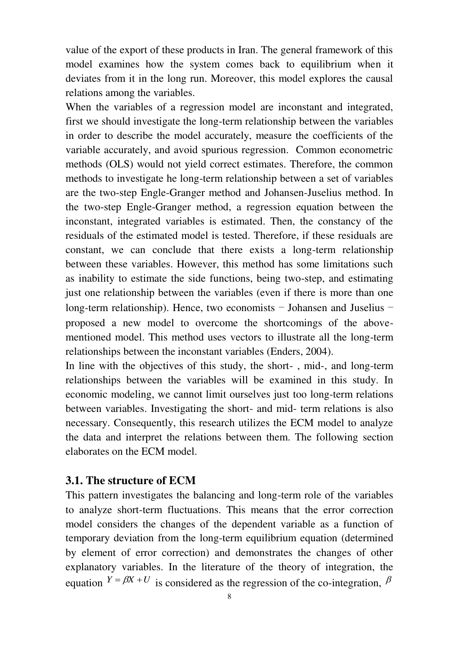value of the export of these products in Iran. The general framework of this model examines how the system comes back to equilibrium when it deviates from it in the long run. Moreover, this model explores the causal relations among the variables.

When the variables of a regression model are inconstant and integrated, first we should investigate the long-term relationship between the variables in order to describe the model accurately, measure the coefficients of the variable accurately, and avoid spurious regression. Common econometric methods (OLS) would not yield correct estimates. Therefore, the common methods to investigate he long-term relationship between a set of variables are the two-step Engle-Granger method and Johansen-Juselius method. In the two-step Engle-Granger method, a regression equation between the inconstant, integrated variables is estimated. Then, the constancy of the residuals of the estimated model is tested. Therefore, if these residuals are constant, we can conclude that there exists a long-term relationship between these variables. However, this method has some limitations such as inability to estimate the side functions, being two-step, and estimating just one relationship between the variables (even if there is more than one long-term relationship). Hence, two economists – Johansen and Juselius – proposed a new model to overcome the shortcomings of the abovementioned model. This method uses vectors to illustrate all the long-term relationships between the inconstant variables (Enders, 2004).

In line with the objectives of this study, the short- , mid-, and long-term relationships between the variables will be examined in this study. In economic modeling, we cannot limit ourselves just too long-term relations between variables. Investigating the short- and mid- term relations is also necessary. Consequently, this research utilizes the ECM model to analyze the data and interpret the relations between them. The following section elaborates on the ECM model.

#### **3.1. The structure of ECM**

This pattern investigates the balancing and long-term role of the variables to analyze short-term fluctuations. This means that the error correction model considers the changes of the dependent variable as a function of temporary deviation from the long-term equilibrium equation (determined by element of error correction) and demonstrates the changes of other explanatory variables. In the literature of the theory of integration, the equation  $Y = \beta X + U$  is considered as the regression of the co-integration,  $\beta$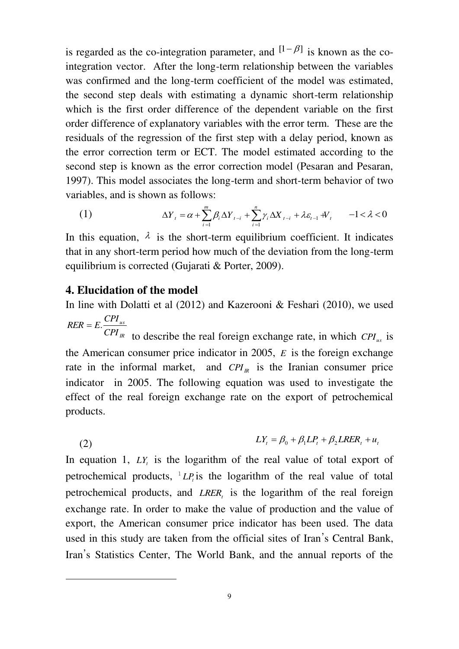is regarded as the co-integration parameter, and  $[1 - \beta]$  is known as the cointegration vector. After the long-term relationship between the variables was confirmed and the long-term coefficient of the model was estimated, the second step deals with estimating a dynamic short-term relationship which is the first order difference of the dependent variable on the first order difference of explanatory variables with the error term. These are the residuals of the regression of the first step with a delay period, known as the error correction term or ECT. The model estimated according to the second step is known as the error correction model (Pesaran and Pesaran, 1997). This model associates the long-term and short-term behavior of two variables, and is shown as follows:

(1) 
$$
\Delta Y_{t} = \alpha + \sum_{i=1}^{m} \beta_{i} \Delta Y_{t-i} + \sum_{i=1}^{n} \gamma_{i} \Delta X_{t-i} + \lambda \varepsilon_{t-1} + V_{t} \qquad -1 < \lambda < 0
$$

In this equation,  $\lambda$  is the short-term equilibrium coefficient. It indicates that in any short-term period how much of the deviation from the long-term equilibrium is corrected (Gujarati & Porter, 2009).

#### **4. Elucidation of the model**

 $\overline{a}$ 

In line with Dolatti et al (2012) and Kazerooni & Feshari (2010), we used *us*  $RER = E \cdot \frac{CPI}{CPI}$ 

*IR CPI* to describe the real foreign exchange rate, in which *CPI us* is the American consumer price indicator in 2005, *E* is the foreign exchange rate in the informal market, and  $\mathbb{C}PI_{R}$  is the Iranian consumer price indicator in 2005. The following equation was used to investigate the effect of the real foreign exchange rate on the export of petrochemical products.

(2)  $LY_{t} = \beta_{0} + \beta_{1}LP_{t} + \beta_{2}LRER_{t} + u_{t}$ 

In equation 1,  $LY_t$  is the logarithm of the real value of total export of petrochemical products,  $^1L P_t$  is the logarithm of the real value of total petrochemical products, and *LRER<sup>t</sup>* is the logarithm of the real foreign exchange rate. In order to make the value of production and the value of export, the American consumer price indicator has been used. The data used in this study are taken from the official sites of Iran's Central Bank, Iran's Statistics Center, The World Bank, and the annual reports of the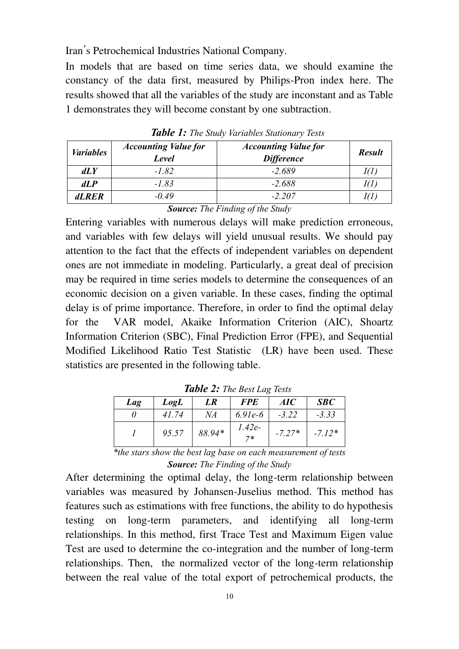Iran's Petrochemical Industries National Company.

In models that are based on time series data, we should examine the constancy of the data first, measured by Philips-Pron index here. The results showed that all the variables of the study are inconstant and as Table 1 demonstrates they will become constant by one subtraction.

| <b>Variables</b> | <b>Accounting Value for</b><br>Level | <b>Accounting Value for</b><br><b>Difference</b> | <b>Result</b> |
|------------------|--------------------------------------|--------------------------------------------------|---------------|
| dLY              | $-1.82$                              | $-2.689$                                         | Ю.            |
| dLP              | $-1.83$                              | $-2.688$                                         | I(Г           |
| <b>dLRER</b>     | $-0.49$                              | $-2.207$                                         | 1(1           |

*Table 1: The Study Variables Stationary Tests*

*Source: The Finding of the Study*

Entering variables with numerous delays will make prediction erroneous, and variables with few delays will yield unusual results. We should pay attention to the fact that the effects of independent variables on dependent ones are not immediate in modeling. Particularly, a great deal of precision may be required in time series models to determine the consequences of an economic decision on a given variable. In these cases, finding the optimal delay is of prime importance. Therefore, in order to find the optimal delay for the VAR model, Akaike Information Criterion (AIC), Shoartz Information Criterion (SBC), Final Prediction Error (FPE), and Sequential Modified Likelihood Ratio Test Statistic (LR) have been used. These statistics are presented in the following table.

| Lag | LogL  | LR     | <b>FPE</b>       | AIC      | SBC      |  |  |
|-----|-------|--------|------------------|----------|----------|--|--|
|     | 41.74 | NA     | $6.91e-6$        | $-3.22$  | $-3.33$  |  |  |
|     | 95.57 | 88.94* | $1.42e-$<br>$7*$ | $-7.27*$ | $-7.12*$ |  |  |

*Table 2: The Best Lag Tests*

*\*the stars show the best lag base on each measurement of tests Source: The Finding of the Study*

After determining the optimal delay, the long-term relationship between variables was measured by Johansen-Juselius method. This method has features such as estimations with free functions, the ability to do hypothesis testing on long-term parameters, and identifying all long-term relationships. In this method, first Trace Test and Maximum Eigen value Test are used to determine the co-integration and the number of long-term relationships. Then, the normalized vector of the long-term relationship between the real value of the total export of petrochemical products, the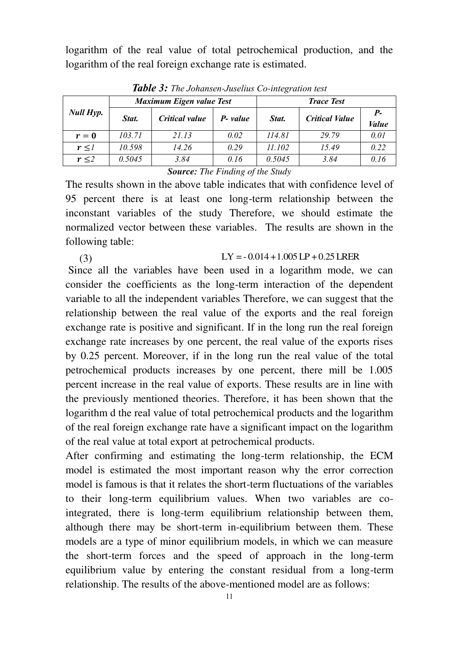logarithm of the real value of total petrochemical production, and the logarithm of the real foreign exchange rate is estimated.

| <b>Null Hyp.</b> | Maximum Eigen value Test |                |                  | <b>Trace Test</b> |                       |              |
|------------------|--------------------------|----------------|------------------|-------------------|-----------------------|--------------|
|                  | Stat.                    | Critical value | <b>P</b> - value | Stat.             | <b>Critical Value</b> | $P_{-}$      |
|                  |                          |                |                  |                   |                       | <b>Value</b> |
| $r=0$            | 103.71                   | 21.13          | 0.02             | 114.81            | 29.79                 | 0.01         |
| $r \leq l$       | 10.598                   | 14.26          | 0.29             | 11.102            | 15.49                 | 0.22         |
| $r \leq 2$       | 0.5045                   | 3.84           | 0.16             | 0.5045            | 3.84                  | 0.16         |

*Table 3: The Johansen-Juselius Co-integration test*

*Source: The Finding of the Study*

The results shown in the above table indicates that with confidence level of 95 percent there is at least one long-term relationship between the inconstant variables of the study Therefore, we should estimate the normalized vector between these variables. The results are shown in the following table:

(3)  $LY = -0.014 + 1.005 LP + 0.25 LREN$ 

 Since all the variables have been used in a logarithm mode, we can consider the coefficients as the long-term interaction of the dependent variable to all the independent variables Therefore, we can suggest that the relationship between the real value of the exports and the real foreign exchange rate is positive and significant. If in the long run the real foreign exchange rate increases by one percent, the real value of the exports rises by 0.25 percent. Moreover, if in the long run the real value of the total petrochemical products increases by one percent, there mill be 1.005 percent increase in the real value of exports. These results are in line with the previously mentioned theories. Therefore, it has been shown that the logarithm d the real value of total petrochemical products and the logarithm of the real foreign exchange rate have a significant impact on the logarithm of the real value at total export at petrochemical products.

After confirming and estimating the long-term relationship, the ECM model is estimated the most important reason why the error correction model is famous is that it relates the short-term fluctuations of the variables to their long-term equilibrium values. When two variables are cointegrated, there is long-term equilibrium relationship between them, although there may be short-term in-equilibrium between them. These models are a type of minor equilibrium models, in which we can measure the short-term forces and the speed of approach in the long-term equilibrium value by entering the constant residual from a long-term relationship. The results of the above-mentioned model are as follows: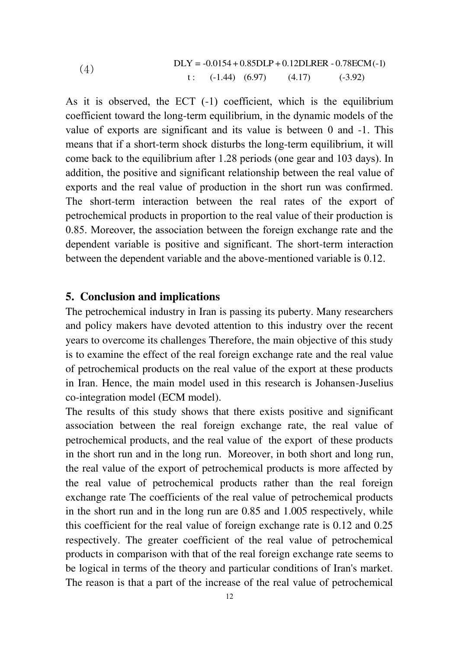(4) 
$$
DLY = -0.0154 + 0.85DLP + 0.12DLRER - 0.78ECM(-1)
$$

$$
t: (-1.44) (6.97) (4.17) (-3.92)
$$

As it is observed, the ECT (-1) coefficient, which is the equilibrium coefficient toward the long-term equilibrium, in the dynamic models of the value of exports are significant and its value is between 0 and -1. This means that if a short-term shock disturbs the long-term equilibrium, it will come back to the equilibrium after 1.28 periods (one gear and 103 days). In addition, the positive and significant relationship between the real value of exports and the real value of production in the short run was confirmed. The short-term interaction between the real rates of the export of petrochemical products in proportion to the real value of their production is 0.85. Moreover, the association between the foreign exchange rate and the dependent variable is positive and significant. The short-term interaction between the dependent variable and the above-mentioned variable is 0.12.

#### **5. Conclusion and implications**

The petrochemical industry in Iran is passing its puberty. Many researchers and policy makers have devoted attention to this industry over the recent years to overcome its challenges Therefore, the main objective of this study is to examine the effect of the real foreign exchange rate and the real value of petrochemical products on the real value of the export at these products in Iran. Hence, the main model used in this research is Johansen-Juselius co-integration model (ECM model).

The results of this study shows that there exists positive and significant association between the real foreign exchange rate, the real value of petrochemical products, and the real value of the export of these products in the short run and in the long run. Moreover, in both short and long run, the real value of the export of petrochemical products is more affected by the real value of petrochemical products rather than the real foreign exchange rate The coefficients of the real value of petrochemical products in the short run and in the long run are 0.85 and 1.005 respectively, while this coefficient for the real value of foreign exchange rate is 0.12 and 0.25 respectively. The greater coefficient of the real value of petrochemical products in comparison with that of the real foreign exchange rate seems to be logical in terms of the theory and particular conditions of Iran's market. The reason is that a part of the increase of the real value of petrochemical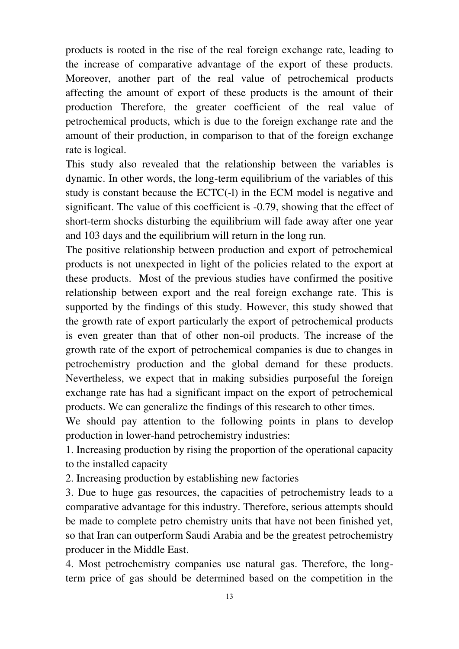products is rooted in the rise of the real foreign exchange rate, leading to the increase of comparative advantage of the export of these products. Moreover, another part of the real value of petrochemical products affecting the amount of export of these products is the amount of their production Therefore, the greater coefficient of the real value of petrochemical products, which is due to the foreign exchange rate and the amount of their production, in comparison to that of the foreign exchange rate is logical.

This study also revealed that the relationship between the variables is dynamic. In other words, the long-term equilibrium of the variables of this study is constant because the ECTC(-l) in the ECM model is negative and significant. The value of this coefficient is -0.79, showing that the effect of short-term shocks disturbing the equilibrium will fade away after one year and 103 days and the equilibrium will return in the long run.

The positive relationship between production and export of petrochemical products is not unexpected in light of the policies related to the export at these products. Most of the previous studies have confirmed the positive relationship between export and the real foreign exchange rate. This is supported by the findings of this study. However, this study showed that the growth rate of export particularly the export of petrochemical products is even greater than that of other non-oil products. The increase of the growth rate of the export of petrochemical companies is due to changes in petrochemistry production and the global demand for these products. Nevertheless, we expect that in making subsidies purposeful the foreign exchange rate has had a significant impact on the export of petrochemical products. We can generalize the findings of this research to other times.

We should pay attention to the following points in plans to develop production in lower-hand petrochemistry industries:

1. Increasing production by rising the proportion of the operational capacity to the installed capacity

2. Increasing production by establishing new factories

3. Due to huge gas resources, the capacities of petrochemistry leads to a comparative advantage for this industry. Therefore, serious attempts should be made to complete petro chemistry units that have not been finished yet, so that Iran can outperform Saudi Arabia and be the greatest petrochemistry producer in the Middle East.

4. Most petrochemistry companies use natural gas. Therefore, the longterm price of gas should be determined based on the competition in the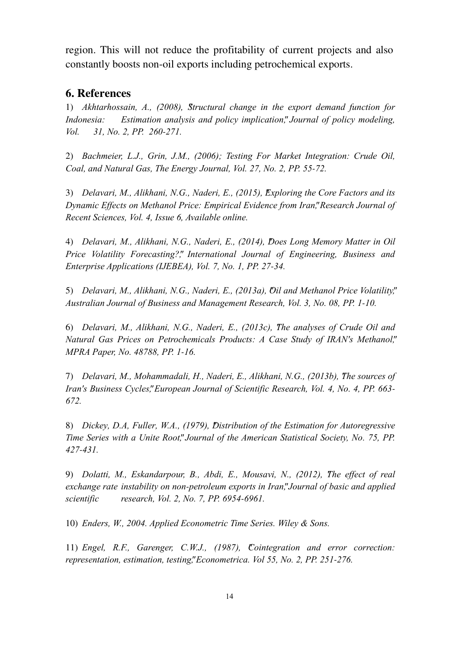region. This will not reduce the profitability of current projects and also constantly boosts non-oil exports including petrochemical exports.

## **6. References**

1) *Akhtarhossain, A., (2008), "Structural change in the export demand function for Indonesia: Estimation analysis and policy implication", Journal of policy modeling, Vol. 31, No. 2, PP. 260-271.*

2) *Bachmeier, L.J., Grin, J.M., (2006); Testing For Market Integration: Crude Oil, Coal, and Natural Gas, The Energy Journal, Vol. 27, No. 2, PP. 55-72.*

3) *Delavari, M., Alikhani, N.G., Naderi, E., (2015), "Exploring the Core Factors and its Dynamic Effects on Methanol Price: Empirical Evidence from Iran", Research Journal of Recent Sciences, Vol. 4, Issue 6, Available online.*

4) *Delavari, M., Alikhani, N.G., Naderi, E., (2014), "Does Long Memory Matter in Oil Price Volatility Forecasting?", International Journal of Engineering, Business and Enterprise Applications (IJEBEA), Vol. 7, No. 1, PP. 27-34.*

5) *Delavari, M., Alikhani, N.G., Naderi, E., (2013a), "Oil and Methanol Price Volatility", Australian Journal of Business and Management Research, Vol. 3, No. 08, PP. 1-10.*

6) *Delavari, M., Alikhani, N.G., Naderi, E., (2013c), "The analyses of Crude Oil and Natural Gas Prices on Petrochemicals Products: A Case Study of IRAN's Methanol", MPRA Paper, No. 48788, PP. 1-16.*

7) *Delavari, M., Mohammadali, H., Naderi, E., Alikhani, N.G., (2013b), "The sources of Iran's Business Cycles", European Journal of Scientific Research, Vol. 4, No. 4, PP. 663- 672.*

8) *Dickey, D.A, Fuller, W.A., (1979), Distribution of the Estimation for Autoregressive Time Series with a Unite Root", Journal of the American Statistical Society, No. 75, PP. 427-431.* 

9) *Dolatti, M., Eskandarpour, B., Abdi, E., Mousavi, N., (2012), "The effect of real exchange rate instability on non-petroleum exports in Iran", Journal of basic and applied scientific research, Vol. 2, No. 7, PP. 6954-6961.*

10) *Enders, W., 2004. Applied Econometric Time Series. Wiley & Sons.*

11) *Engel, R.F., Garenger, C.W.J., (1987), "Cointegration and error correction: representation, estimation, testing", Econometrica. Vol 55, No. 2, PP. 251-276.*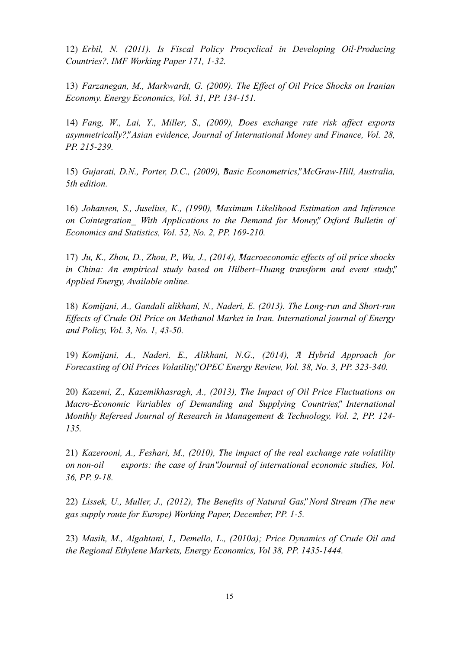12) *Erbil, N. (2011). Is Fiscal Policy Procyclical in Developing Oil-Producing Countries?. IMF Working Paper 171, 1-32.*

13) *Farzanegan, M., Markwardt, G. (2009). The Effect of Oil Price Shocks on Iranian Economy. Energy Economics, Vol. 31, PP. 134-151.*

14) *Fang, W., Lai, Y., Miller, S., (2009), "Does exchange rate risk affect exports asymmetrically?", Asian evidence, Journal of International Money and Finance, Vol. 28, PP. 215-239.* 

15) *Gujarati, D.N., Porter, D.C., (2009), "Basic Econometrics", McGraw-Hill, Australia, 5th edition.*

16) *Johansen, S., Juselius, K., (1990), "Maximum Likelihood Estimation and Inference on Cointegration\_ With Applications to the Demand for Money", Oxford Bulletin of Economics and Statistics, Vol. 52, No. 2, PP. 169-210.*

17) *Ju, K., Zhou, D., Zhou, P., Wu, J., (2014), "Macroeconomic effects of oil price shocks in China: An empirical study based on Hilbert–Huang transform and event study", Applied Energy, Available online.*

18) *Komijani, A., Gandali alikhani, N., Naderi, E. (2013). The Long-run and Short-run Effects of Crude Oil Price on Methanol Market in Iran. International journal of Energy and Policy, Vol. 3, No. 1, 43-50.*

19) *Komijani, A., Naderi, E., Alikhani, N.G., (2014), "A Hybrid Approach for Forecasting of Oil Prices Volatility", OPEC Energy Review, Vol. 38, No. 3, PP. 323-340.*

20) *Kazemi, Z., Kazemikhasragh, A., (2013), "The Impact of Oil Price Fluctuations on Macro-Economic Variables of Demanding and Supplying Countries", International Monthly Refereed Journal of Research in Management & Technology, Vol. 2, PP. 124- 135.*

21) *Kazerooni, A., Feshari, M., (2010), "The impact of the real exchange rate volatility on non-oil exports: the case of Iran" Journal of international economic studies, Vol. 36, PP. 9-18.*

22) *Lissek, U., Muller, J., (2012), "The Benefits of Natural Gas", Nord Stream (The new gas supply route for Europe) Working Paper, December, PP. 1-5.*

23) *Masih, M., Algahtani, I., Demello, L., (2010a); Price Dynamics of Crude Oil and the Regional Ethylene Markets, Energy Economics, Vol 38, PP. 1435-1444.*